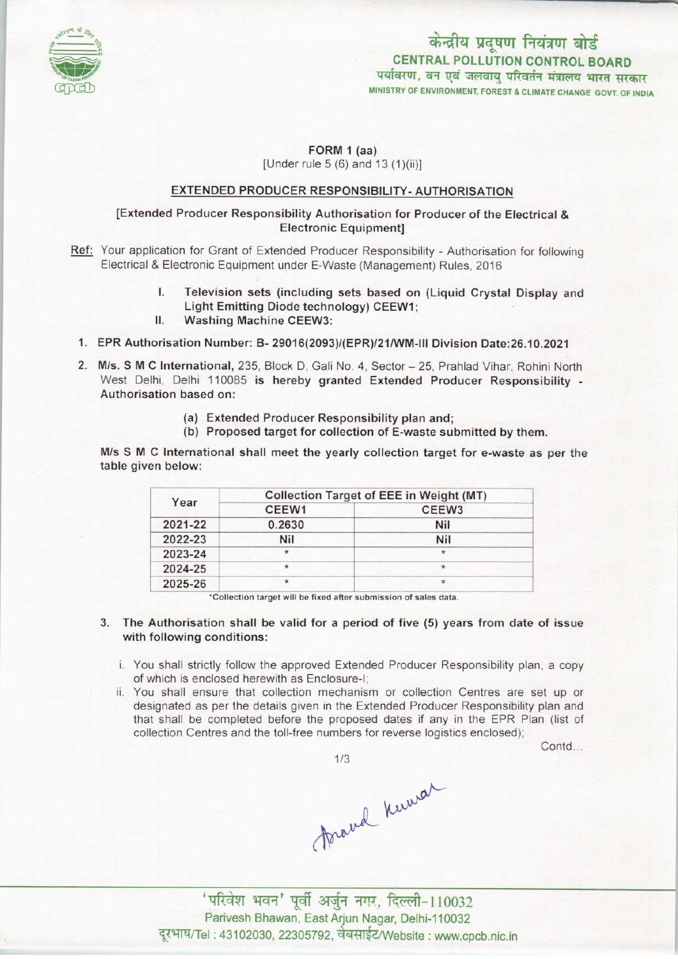

# केन्द्रीय प्रदूषण नियंत्रण बोर्ड CENTRAL POLLUTION CONTROL BOARD पर्यावरण, वन एवं जलवायु परिवर्तन मंत्रालय भारत सरकार MINISTRY OF ENVIRONMENT, FOREST & CLIMATE CHANGE GOVT. OF INDIA

# FORM 1 (aa) [Under rule  $5(6)$  and  $13(1)(ii)$ ]

### EXTENDED PRODUCER RESPONSIBILITY- AUTHORISATION

# [Extended Producer Responsibility Authorisation for Producer of the Electrical & Electronic Equipment]

- Ref: Your application for Grant of Extended Producer Responsibility Authorisation for following Electrical & Electronic Equipment under E-Waste (Management) Rules, 2016
	- I. Television sets (including sets based on (Liquid Crystal Display and Light Emitting Diode technology) CEEW1; I. Television sets (including<br>Light Emitting Diode techn<br>II. Washing Machine CEEW3:
	-
	- 1.EPR Authorisation Number: B- 29016(2093)/(EPR)/21/WM-lII Division Date:26.10.2021
	- 2. M/s. S M C International, 235, Block D, Gali No. 4, Sector 25, Prahlad Vihar, Rohini North West Delhi, Delhi 110085 is hereby granted Extended Producer Responsibility -Authorisation based on:
		- (a)Extended Producer Responsibility plan and;
		- (b) Proposed target for collection of E-waste submitted by them.

M/s SMC International shall meet the yearly collection target for e-waste as per the table given below:

| Year    | Collection Target of EEE in Weight (MT) |                   |
|---------|-----------------------------------------|-------------------|
|         | CEEW1                                   | CEEW <sub>3</sub> |
| 2021-22 | 0.2630                                  | Nil               |
| 2022-23 | Nil                                     | Nil               |
| 2023-24 | $\star$                                 |                   |
| 2024-25 | $\star$                                 | $\star$           |
| 2025-26 | $\star$                                 |                   |

•Collection target will be fixed aftersubmission of sales data.

- 3. The Authorisation shall be valid for a period of five (5) years from date of issue with following conditions:
	- i. You shall strictly follow the approved Extended Producer Responsibility plan, a copy of which is enclosed herewith as Enclosure-I;
	- ii. You shall ensure that collection mechanism or collection Centres are set up or designated as per the details given in the Extended Producer Responsibility plan and that shall be completed before the proposed dates if any in the EPR Plan (list of collection Centres and the toll-free numbers for reverse logistics enclosed);

Contd...



1/3<br>frand knowar

 $'$ परिवेश भवन' पूर्वी अर्जुन नगर, दिल्ली-110032 Parivesh Bhawan, East Arjun Nagar, Delhi-110032 दूरभाष/Tel: 43102030, 22305792, वेबसाईट/Website : www.cpcb.nic.in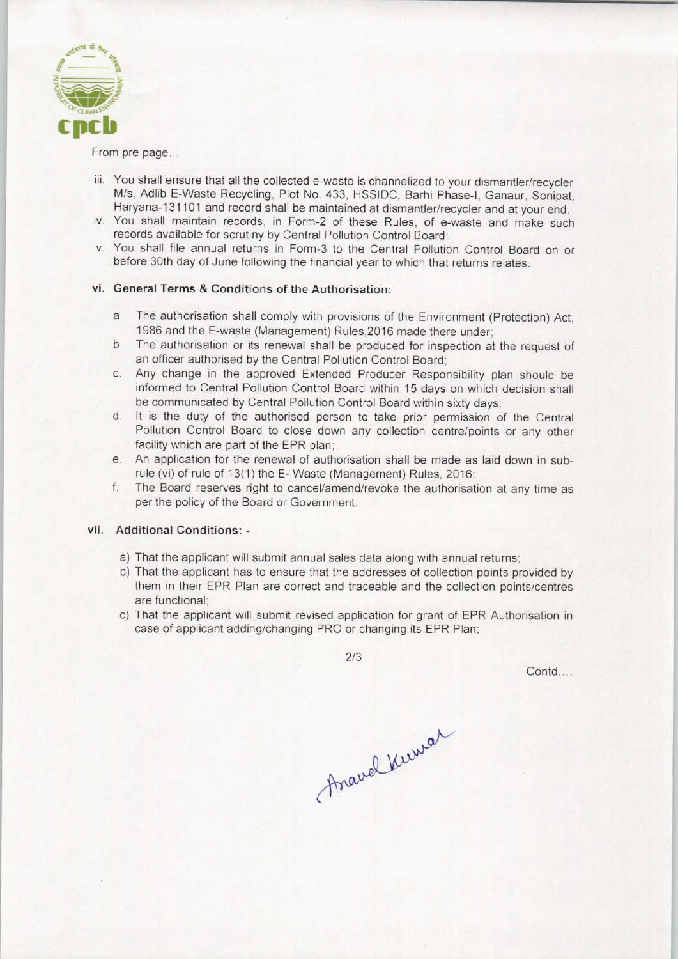

From pre page...

- iii. You shall ensure that all the collected e-waste is channelized to your dismantler/recycler M/s. Adlib E-Waste Recycling, Plot No. 433, HSSIDC, Barhi Phase-I, Ganaur, Sonipat, Haryana-131101 and record shall be maintained at dismantler/recycler and at your end.
- iv. You shall maintain records, in Form-2 of these Rules, of e-waste and make such records available for scrutiny by Central Pollution Control Board;
- v. You shall file annual returns in Form-3 to the Central Pollution Control Board on or before 30th day of June following the financial year to which that returns relates.

#### vi. General Terms & Conditions of the Authorisation:

- a. The authorisation shall comply with provisions of the Environment (Protection) Act, 1986 and the E-waste (Management) Rules,2016 made there under;
- b. The authorisation or its renewal shall be produced for inspection at the request of an officer authorised by the Central Pollution Control Board;
- c.Any change in the approved Extended Producer Responsibility plan should be informed to Central Pollution Control Board within 15 days on which decision shall be communicated by Central Pollution Control Board within sixty days;
- d. It is the duty of the authorised person to take prior permission of the Central Pollution Control Board to close down any collection centre/points or any other facility which are part of the EPR plan;
- e. An application for the renewal of authorisation shall be made as laid down in subrule (vi) of rule of 13(1) the E- Waste (Management) Rules, 2016;
- f. The Board reserves right to cancel/amend/revoke the authorisation at any time as per the policy of the Board or Government.

# vii. Additional Conditions: -

- a) That the applicant will submit annual sales data along with annual returns;
- b) That the applicant has to ensure that the addresses of collection points provided by them in their EPR Plan are correct and traceable and the collection points/centres are functional;
- c) That the applicant will submit revised application for grant of EPR Authorisation in case of applicant adding/changing PRO or changing its EPR Plan;

2/3

Contd....

Anavel Kirwar